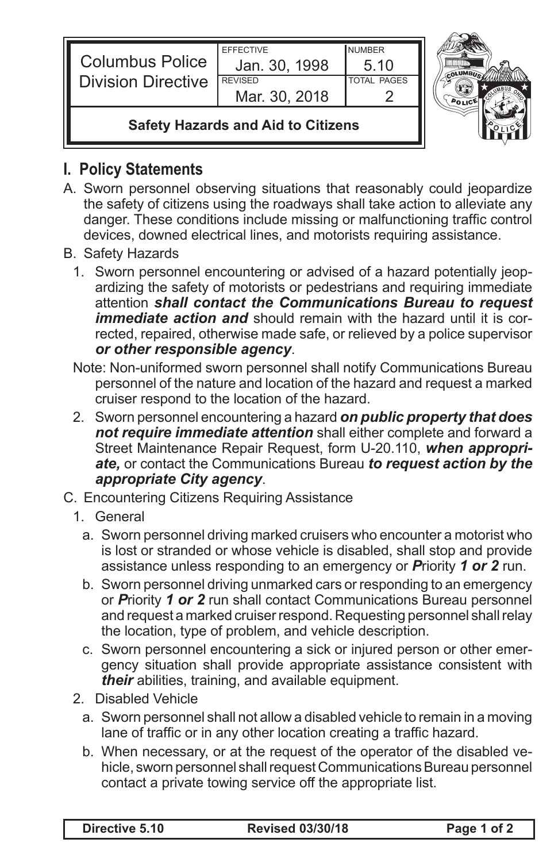| Columbus Police<br>Division Directive     | <b>EFFECTIVE</b><br>Jan. 30, 1998<br><b>REVISED</b><br>Mar. 30, 2018 | <b>NUMBER</b><br>5.10<br><b>TOTAL PAGES</b> |  |
|-------------------------------------------|----------------------------------------------------------------------|---------------------------------------------|--|
| <b>Safety Hazards and Aid to Citizens</b> |                                                                      |                                             |  |

## **I. Policy Statements**

- A. Sworn personnel observing situations that reasonably could jeopardize the safety of citizens using the roadways shall take action to alleviate any danger. These conditions include missing or malfunctioning traffic control devices, downed electrical lines, and motorists requiring assistance.
- B. Safety Hazards
	- 1. Sworn personnel encountering or advised of a hazard potentially jeopardizing the safety of motorists or pedestrians and requiring immediate attention *shall contact the Communications Bureau to request immediate action and* should remain with the hazard until it is corrected, repaired, otherwise made safe, or relieved by a police supervisor *or other responsible agency*.
	- Note: Non-uniformed sworn personnel shall notify Communications Bureau personnel of the nature and location of the hazard and request a marked cruiser respond to the location of the hazard.
	- 2. Sworn personnel encountering a hazard *on public property that does not require immediate attention* shall either complete and forward a Street Maintenance Repair Request, form U-20.110, *when appropriate,* or contact the Communications Bureau *to request action by the appropriate City agency*.
- C. Encountering Citizens Requiring Assistance
	- 1. General
		- a. Sworn personnel driving marked cruisers who encounter a motorist who is lost or stranded or whose vehicle is disabled, shall stop and provide assistance unless responding to an emergency or *P*riority *1 or 2* run.
		- b. Sworn personnel driving unmarked cars or responding to an emergency or *P*riority *1 or 2* run shall contact Communications Bureau personnel and request a marked cruiser respond. Requesting personnel shall relay the location, type of problem, and vehicle description.
		- c. Sworn personnel encountering a sick or injured person or other emergency situation shall provide appropriate assistance consistent with *their* abilities, training, and available equipment.
	- 2. Disabled Vehicle
		- a. Sworn personnel shall not allow a disabled vehicle to remain in a moving lane of traffic or in any other location creating a traffic hazard.
		- b. When necessary, or at the request of the operator of the disabled vehicle, sworn personnel shall request Communications Bureau personnel contact a private towing service off the appropriate list.